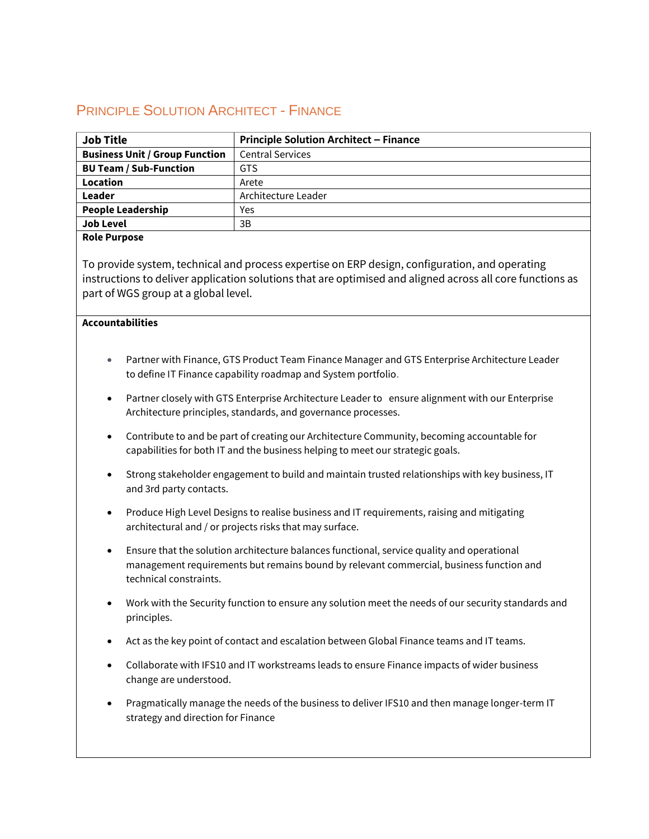## PRINCIPLE SOLUTION ARCHITECT - FINANCE

| <b>Job Title</b>                      | <b>Principle Solution Architect - Finance</b> |  |
|---------------------------------------|-----------------------------------------------|--|
| <b>Business Unit / Group Function</b> | <b>Central Services</b>                       |  |
| <b>BU Team / Sub-Function</b>         | <b>GTS</b>                                    |  |
| Location                              | Arete                                         |  |
| Leader                                | Architecture Leader                           |  |
| <b>People Leadership</b>              | Yes                                           |  |
| <b>Job Level</b>                      | 3B                                            |  |

## **Role Purpose**

To provide system, technical and process expertise on ERP design, configuration, and operating instructions to deliver application solutions that are optimised and aligned across all core functions as part of WGS group at a global level.

## **Accountabilities**

- Partner with Finance, GTS Product Team Finance Manager and GTS Enterprise Architecture Leader to define IT Finance capability roadmap and System portfolio.
- Partner closely with GTS Enterprise Architecture Leader to ensure alignment with our Enterprise Architecture principles, standards, and governance processes.
- Contribute to and be part of creating our Architecture Community, becoming accountable for capabilities for both IT and the business helping to meet our strategic goals.
- Strong stakeholder engagement to build and maintain trusted relationships with key business, IT and 3rd party contacts.
- Produce High Level Designs to realise business and IT requirements, raising and mitigating architectural and / or projects risks that may surface.
- Ensure that the solution architecture balances functional, service quality and operational management requirements but remains bound by relevant commercial, business function and technical constraints.
- Work with the Security function to ensure any solution meet the needs of our security standards and principles.
- Act as the key point of contact and escalation between Global Finance teams and IT teams.
- Collaborate with IFS10 and IT workstreams leads to ensure Finance impacts of wider business change are understood.
- Pragmatically manage the needs of the business to deliver IFS10 and then manage longer-term IT strategy and direction for Finance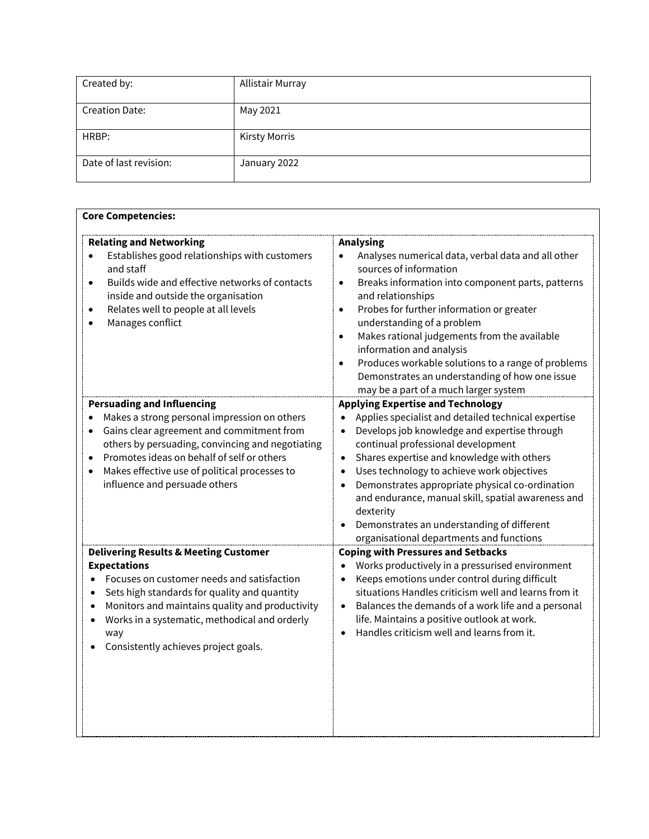| Created by:            | Allistair Murray     |
|------------------------|----------------------|
| <b>Creation Date:</b>  | May 2021             |
| HRBP:                  | <b>Kirsty Morris</b> |
| Date of last revision: | January 2022         |

| <b>Relating and Networking</b>                                                                                                                                                                                                                                                | <b>Analysing</b>                                                                                                                                                                                                                                                                                                                                                                                                                                                                                                   |
|-------------------------------------------------------------------------------------------------------------------------------------------------------------------------------------------------------------------------------------------------------------------------------|--------------------------------------------------------------------------------------------------------------------------------------------------------------------------------------------------------------------------------------------------------------------------------------------------------------------------------------------------------------------------------------------------------------------------------------------------------------------------------------------------------------------|
| Establishes good relationships with customers<br>and staff<br>Builds wide and effective networks of contacts<br>$\bullet$<br>inside and outside the organisation<br>Relates well to people at all levels<br>$\bullet$<br>Manages conflict                                     | Analyses numerical data, verbal data and all other<br>sources of information<br>Breaks information into component parts, patterns<br>$\bullet$<br>and relationships<br>Probes for further information or greater<br>$\bullet$<br>understanding of a problem<br>Makes rational judgements from the available<br>$\bullet$<br>information and analysis<br>Produces workable solutions to a range of problems<br>$\bullet$<br>Demonstrates an understanding of how one issue<br>may be a part of a much larger system |
| <b>Persuading and Influencing</b>                                                                                                                                                                                                                                             | <b>Applying Expertise and Technology</b>                                                                                                                                                                                                                                                                                                                                                                                                                                                                           |
| Makes a strong personal impression on others<br>Gains clear agreement and commitment from<br>others by persuading, convincing and negotiating<br>Promotes ideas on behalf of self or others<br>Makes effective use of political processes to<br>influence and persuade others | Applies specialist and detailed technical expertise<br>Develops job knowledge and expertise through<br>continual professional development<br>Shares expertise and knowledge with others<br>$\bullet$<br>Uses technology to achieve work objectives<br>Demonstrates appropriate physical co-ordination<br>and endurance, manual skill, spatial awareness and<br>dexterity<br>Demonstrates an understanding of different<br>organisational departments and functions                                                 |
| <b>Delivering Results &amp; Meeting Customer</b>                                                                                                                                                                                                                              | <b>Coping with Pressures and Setbacks</b>                                                                                                                                                                                                                                                                                                                                                                                                                                                                          |
| <b>Expectations</b><br>Focuses on customer needs and satisfaction<br>Sets high standards for quality and quantity<br>Monitors and maintains quality and productivity<br>Works in a systematic, methodical and orderly<br>way<br>Consistently achieves project goals.          | Works productively in a pressurised environment<br>Keeps emotions under control during difficult<br>situations Handles criticism well and learns from it<br>Balances the demands of a work life and a personal<br>life. Maintains a positive outlook at work.<br>Handles criticism well and learns from it.                                                                                                                                                                                                        |